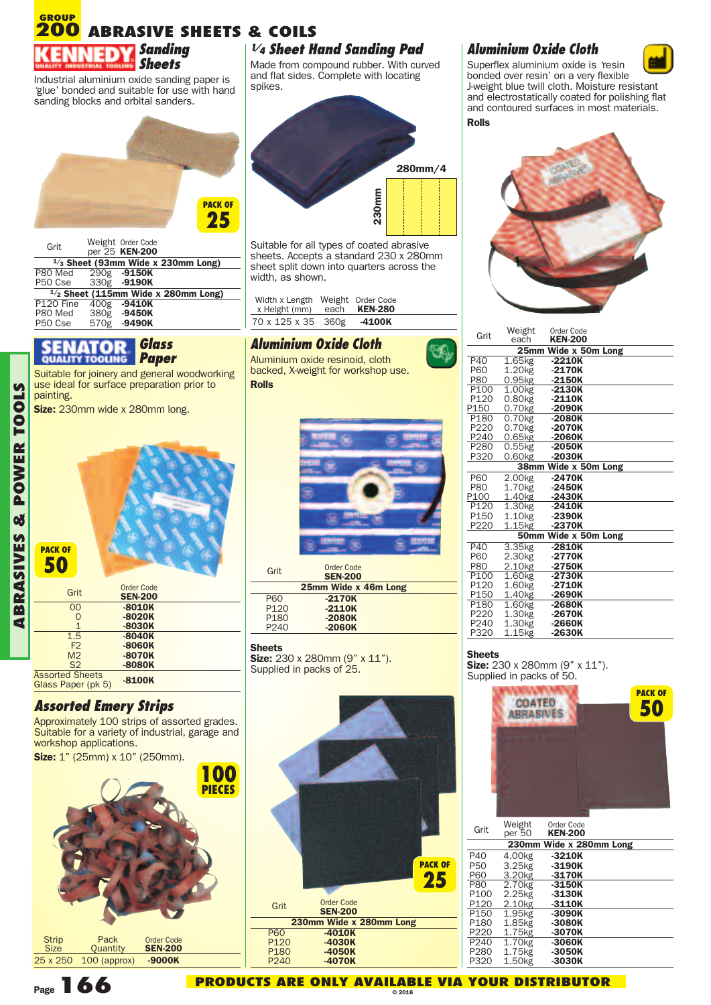#### **ABRASIVE SHEETS & COILS** *Sanding Sheets* **GROUP 200**

Industrial aluminium oxide sanding paper is 'glue' bonded and suitable for use with hand sanding blocks and orbital sanders.



| Grit                            | Weight Order Code<br>per 25 KEN-200          |
|---------------------------------|----------------------------------------------|
|                                 | $\frac{1}{3}$ Sheet (93mm Wide x 230mm Long) |
| P80 Med 290g -9150K             |                                              |
| P50 Cse                         | 330g -9190K                                  |
|                                 | $1/2$ Sheet (115mm Wide x 280mm Long)        |
| P <sub>120</sub> Fine           | 400g -9410K                                  |
| P80 Med                         | 380g -9450K                                  |
| P <sub>50</sub> C <sub>se</sub> | 570g -9490K                                  |

### *Glass Paper*

Suitable for joinery and general woodworking use ideal for surface preparation prior to painting.

**Size:** 230mm wide x 280mm long.



| Grit                   | Order Code<br><b>SEN-200</b> |
|------------------------|------------------------------|
| 00                     | $-8010K$                     |
| 0                      | $-8020K$                     |
| 1                      | $-8030K$                     |
| 1.5                    | $-8040K$                     |
| F <sub>2</sub>         | $-8060K$                     |
| M <sub>2</sub>         | $-8070K$                     |
| S <sub>2</sub>         | $-8080K$                     |
| <b>Assorted Sheets</b> |                              |
| Glass Paper (pk 5)     | $-8100K$                     |

## *Assorted Emery Strips*

Approximately 100 strips of assorted grades. Suitable for a variety of industrial, garage and workshop applications.



## *1/4 Sheet Hand Sanding Pad*

Made from compound rubber. With curved and flat sides. Complete with locating spikes.



Suitable for all types of coated abrasive sheets. Accepts a standard 230 x 280mm sheet split down into quarters across the width, as shown.

| Width x Length Weight Order Code<br>x Height (mm) | each <b>KEN-280</b> |  |
|---------------------------------------------------|---------------------|--|
| 70 x 125 x 35 360g                                | -4100K              |  |

## *Aluminium Oxide Cloth*

Aluminium oxide resinoid, cloth backed, X-weight for workshop use. **Rolls**



| Grit             | Order Code<br><b>SEN-200</b> |
|------------------|------------------------------|
|                  | 25mm Wide x 46m Long         |
| P60              | $-2170K$                     |
| P <sub>120</sub> | $-2110K$                     |
| P <sub>180</sub> | $-2080K$                     |
| P <sub>240</sub> | $-2060K$                     |

### **Sheets**

 $\overline{a}$ 

**Size:** 230 x 280mm (9" x 11"). Supplied in packs of 25.



## *Aluminium Oxide Cloth*



Superflex aluminium oxide is 'resin bonded over resin' on a very flexible J-weight blue twill cloth. Moisture resistant and electrostatically coated for polishing flat and contoured surfaces in most materials. **Rolls**



| Grit                 | Weight<br>each       | Order Code<br><b>KEN-200</b> |  |  |
|----------------------|----------------------|------------------------------|--|--|
| 25mm Wide x 50m Long |                      |                              |  |  |
| P40                  | 1.65kg               | -2210K                       |  |  |
| <b>P60</b>           | 1.20 <sub>kg</sub>   | $-2170K$                     |  |  |
| <b>P80</b>           | $0.95$ <sub>kg</sub> | $-2150K$                     |  |  |
| P <sub>100</sub>     | 1.00kg               | -2130K                       |  |  |
| P <sub>120</sub>     | $0.80$ <sub>kg</sub> | $-2110K$                     |  |  |
| P150                 | 0.70 <sub>kg</sub>   | $-2090K$                     |  |  |
| P <sub>180</sub>     | $0.70$ <sub>kg</sub> | $-2080K$                     |  |  |
| P220                 | 0.70 <sub>kg</sub>   | -2070K                       |  |  |
| P240                 | 0.65kg               | $-2060K$                     |  |  |
| P280                 | $0.55k$ g            | -2050K                       |  |  |
| P320                 | 0.60kg               | $-2030K$                     |  |  |
|                      |                      | 38mm Wide x 50m Long         |  |  |
| <b>P60</b>           | 2.00 <sub>kg</sub>   | $-2470K$                     |  |  |
| <b>P80</b>           | 1.70 <sub>kg</sub>   | $-2450K$                     |  |  |
| P100                 | 1.40kg               | $-2430K$                     |  |  |
| P <sub>120</sub>     | 1.30 <sub>kg</sub>   | -2410K                       |  |  |
| P <sub>150</sub>     | 1.10 <sub>kg</sub>   | $-2390K$                     |  |  |
| P220                 | 1.15kg               | $-2370K$                     |  |  |
|                      |                      | 50mm Wide x 50m Long         |  |  |
| P40                  | 3.35 <sub>kg</sub>   | -2810K                       |  |  |
| <b>P60</b>           | 2.30 <sub>kg</sub>   | $-2770K$                     |  |  |
| <b>P80</b>           | 2.10 <sub>kg</sub>   | $-2750K$                     |  |  |
| P <sub>100</sub>     | 1.60kg               | -2730K                       |  |  |
| P120                 | 1.60 <sub>kg</sub>   | $-2710K$                     |  |  |
| P150                 | 1.40 <sub>kg</sub>   | $-2690K$                     |  |  |
| P <sub>180</sub>     | $1.60$ kg            | -2680K                       |  |  |
| P220                 | 1.30 <sub>kg</sub>   | $-2670K$                     |  |  |
| P240                 | 1.30 <sub>kg</sub>   | -2660K                       |  |  |
| P320                 | 1.15kg               | -2630K                       |  |  |
|                      |                      |                              |  |  |

#### **Sheets**

**Size:** 230 x 280mm (9" x 11").<br>Supplied in packs of 50.



| Grit             | Weight<br>per 50   | Order Code<br><b>KEN-200</b> |  |
|------------------|--------------------|------------------------------|--|
|                  |                    | 230mm Wide x 280mm Long      |  |
| P40              | 4.00kg             | $-3210K$                     |  |
| P50              | 3.25kg             | $-3190K$                     |  |
| P60              | 3.20 <sub>kg</sub> | $-3170K$                     |  |
| <b>P80</b>       | 2.70 <sub>kg</sub> | $-3150K$                     |  |
| P100             | 2.25 <sub>kg</sub> | $-3130K$                     |  |
| P120             | 2.10 <sub>kg</sub> | $-3110K$                     |  |
| P <sub>150</sub> | 1.95kg             | $-3090K$                     |  |
| P180             | 1.85kg             | -3080K                       |  |
| P220             | 1.75kg             | -3070K                       |  |
| P240             | 1.70 <sub>kg</sub> | -3060K                       |  |
| P280             | 1.75kg             | -3050K                       |  |
| P320             | 1.50 <sub>kg</sub> | -3030K                       |  |

**ABRASIV ES&POW ER**

**TOOLS** 

**Page166**

**PRODUCTS ARE ONLY AVAILABLE VIA YOUR DISTRIBUTOR**

**© 2016**